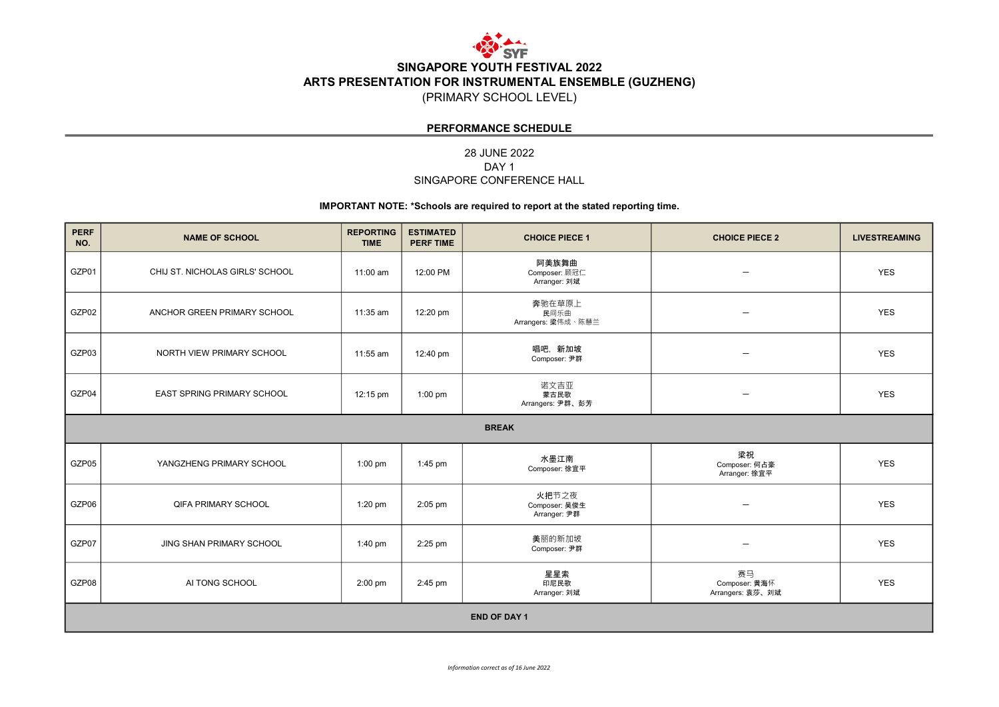

(PRIMARY SCHOOL LEVEL)

#### PERFORMANCE SCHEDULE

#### 28 JUNE 2022 SINGAPORE CONFERENCE HALL DAY<sub>1</sub>

| <b>PERF</b><br>NO.  | <b>NAME OF SCHOOL</b>           | <b>REPORTING</b><br><b>TIME</b> | <b>ESTIMATED</b><br><b>PERF TIME</b> | <b>CHOICE PIECE 1</b>                  | <b>CHOICE PIECE 2</b>                   | <b>LIVESTREAMING</b> |  |  |  |
|---------------------|---------------------------------|---------------------------------|--------------------------------------|----------------------------------------|-----------------------------------------|----------------------|--|--|--|
| GZP01               | CHIJ ST. NICHOLAS GIRLS' SCHOOL | 11:00 am                        | 12:00 PM                             | 阿美族舞曲<br>Composer: 顾冠仁<br>Arranger: 刘斌 | $\overline{\phantom{0}}$                | <b>YES</b>           |  |  |  |
| GZP02               | ANCHOR GREEN PRIMARY SCHOOL     | 11:35 am                        | 12:20 pm                             | 奔驰在草原上<br>民间乐曲<br>Arrangers: 梁伟成、陈慧兰   | $\overline{\phantom{0}}$                | <b>YES</b>           |  |  |  |
| GZP03               | NORTH VIEW PRIMARY SCHOOL       | 11:55 am                        | 12:40 pm                             | 唱吧, 新加坡<br>Composer: 尹群                |                                         | <b>YES</b>           |  |  |  |
| GZP04               | EAST SPRING PRIMARY SCHOOL      | 12:15 pm                        | $1:00$ pm                            | 诺文吉亚<br>蒙古民歌<br>Arrangers: 尹群、彭芳       | $\overline{\phantom{0}}$                | <b>YES</b>           |  |  |  |
|                     | <b>BREAK</b>                    |                                 |                                      |                                        |                                         |                      |  |  |  |
| GZP05               | YANGZHENG PRIMARY SCHOOL        | $1:00$ pm                       | $1:45$ pm                            | 水墨江南<br>Composer: 徐宜平                  | 梁祝<br>Composer: 何占豪<br>Arranger: 徐宜平    | <b>YES</b>           |  |  |  |
| GZP06               | <b>QIFA PRIMARY SCHOOL</b>      | $1:20$ pm                       | $2:05$ pm                            | 火把节之夜<br>Composer: 吴俊生<br>Arranger: 尹群 | $\overline{\phantom{0}}$                | <b>YES</b>           |  |  |  |
| GZP07               | <b>JING SHAN PRIMARY SCHOOL</b> | $1:40 \text{ pm}$               | $2:25$ pm                            | 美丽的新加坡<br>Composer: 尹群                 | $\overline{\phantom{0}}$                | <b>YES</b>           |  |  |  |
| GZP08               | AI TONG SCHOOL                  | $2:00$ pm                       | $2:45$ pm                            | 星星索<br>印尼民歌<br>Arranger: 刘斌            | 赛马<br>Composer: 黄海怀<br>Arrangers: 袁莎、刘斌 | <b>YES</b>           |  |  |  |
| <b>END OF DAY 1</b> |                                 |                                 |                                      |                                        |                                         |                      |  |  |  |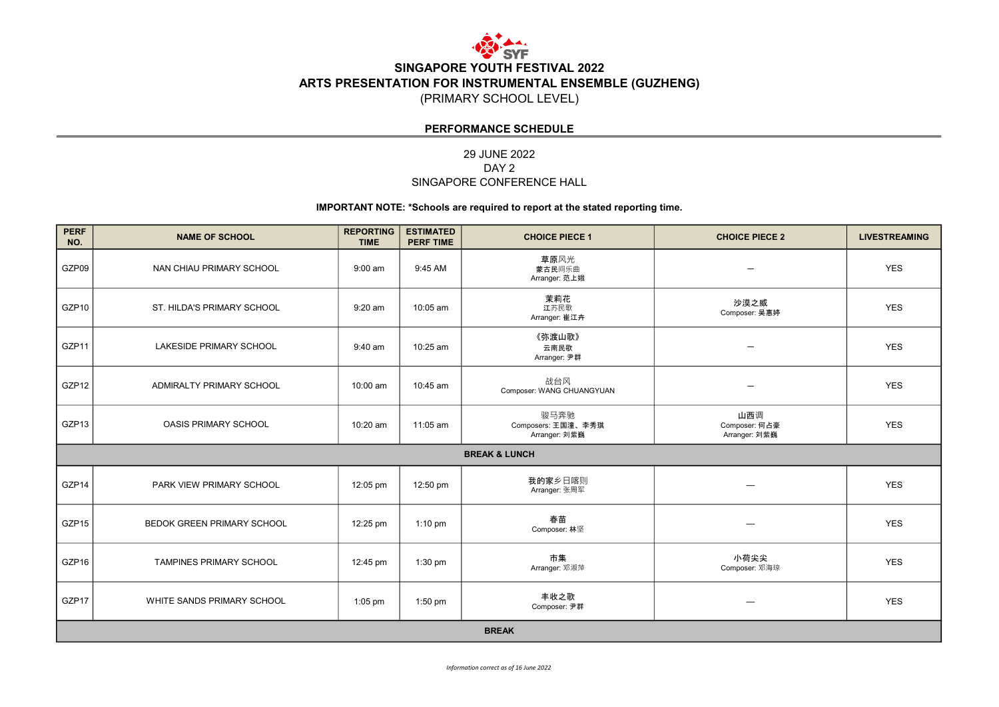

(PRIMARY SCHOOL LEVEL)

#### PERFORMANCE SCHEDULE

#### 29 JUNE 2022 SINGAPORE CONFERENCE HALL DAY<sub>2</sub>

| <b>PERF</b><br>NO. | <b>NAME OF SCHOOL</b>          | <b>REPORTING</b><br><b>TIME</b> | <b>ESTIMATED</b><br><b>PERF TIME</b> | <b>CHOICE PIECE 1</b>                       | <b>CHOICE PIECE 2</b>                 | <b>LIVESTREAMING</b> |  |  |
|--------------------|--------------------------------|---------------------------------|--------------------------------------|---------------------------------------------|---------------------------------------|----------------------|--|--|
| GZP09              | NAN CHIAU PRIMARY SCHOOL       | $9:00$ am                       | 9:45 AM                              | 草原风光<br>蒙古民间乐曲<br>Arranger: 范上娥             |                                       | <b>YES</b>           |  |  |
| GZP10              | ST. HILDA'S PRIMARY SCHOOL     | $9:20$ am                       | 10:05 am                             | 茉莉花<br>江苏民歌<br>Arranger: 崔江卉                | 沙漠之威<br>Composer: 吴惠婷                 | <b>YES</b>           |  |  |
| GZP11              | <b>LAKESIDE PRIMARY SCHOOL</b> | $9:40$ am                       | 10:25 am                             | 《弥渡山歌》<br>云南民歌<br>Arranger: 尹群              |                                       | <b>YES</b>           |  |  |
| GZP12              | ADMIRALTY PRIMARY SCHOOL       | 10:00 am                        | 10:45 am                             | 战台风<br>Composer: WANG CHUANGYUAN            | $\overline{\phantom{0}}$              | <b>YES</b>           |  |  |
| GZP13              | <b>OASIS PRIMARY SCHOOL</b>    | 10:20 am                        | 11:05 am                             | 骏马奔驰<br>Composers: 王国潼、李秀琪<br>Arranger: 刘紫巍 | 山西调<br>Composer: 何占豪<br>Arranger: 刘紫巍 | <b>YES</b>           |  |  |
|                    |                                |                                 |                                      | <b>BREAK &amp; LUNCH</b>                    |                                       |                      |  |  |
| GZP14              | PARK VIEW PRIMARY SCHOOL       | 12:05 pm                        | 12:50 pm                             | 我的家乡日喀则<br>Arranger: 张周军                    | —                                     | <b>YES</b>           |  |  |
| GZP15              | BEDOK GREEN PRIMARY SCHOOL     | 12:25 pm                        | $1:10$ pm                            | 春苗<br>Composer: 林坚                          | —                                     | <b>YES</b>           |  |  |
| GZP16              | <b>TAMPINES PRIMARY SCHOOL</b> | 12:45 pm                        | $1:30$ pm                            | 市集<br>Arranger: 邓淑萍                         | 小荷尖尖<br>Composer: 邓海琼                 | <b>YES</b>           |  |  |
| GZP17              | WHITE SANDS PRIMARY SCHOOL     | $1:05$ pm                       | $1:50$ pm                            | 丰收之歌<br>Composer: 尹群                        | —                                     | <b>YES</b>           |  |  |
| <b>BREAK</b>       |                                |                                 |                                      |                                             |                                       |                      |  |  |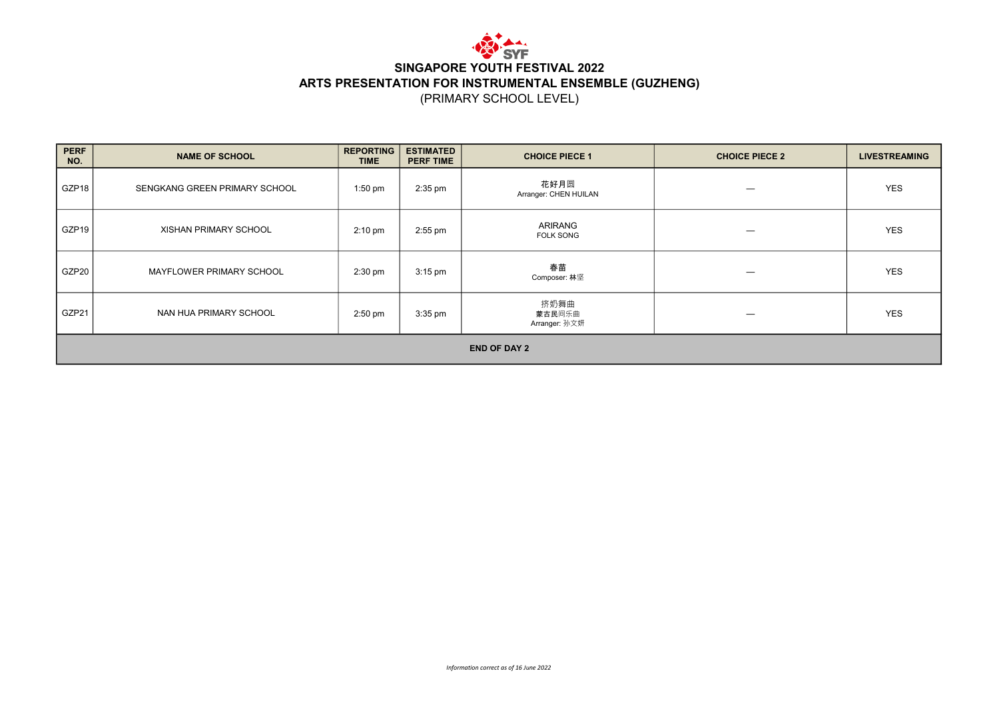

(PRIMARY SCHOOL LEVEL)

| <b>PERF</b><br>NO.  | <b>NAME OF SCHOOL</b>         | <b>REPORTING</b><br><b>TIME</b> | <b>ESTIMATED</b><br><b>PERF TIME</b> | <b>CHOICE PIECE 1</b>           | <b>CHOICE PIECE 2</b> | <b>LIVESTREAMING</b> |  |  |
|---------------------|-------------------------------|---------------------------------|--------------------------------------|---------------------------------|-----------------------|----------------------|--|--|
| GZP <sub>18</sub>   | SENGKANG GREEN PRIMARY SCHOOL | $1:50$ pm                       | $2:35$ pm                            | 花好月圆<br>Arranger: CHEN HUILAN   |                       | <b>YES</b>           |  |  |
| GZP <sub>19</sub>   | XISHAN PRIMARY SCHOOL         | $2:10 \text{ pm}$               | $2:55$ pm                            | ARIRANG<br><b>FOLK SONG</b>     |                       | <b>YES</b>           |  |  |
| GZP20               | MAYFLOWER PRIMARY SCHOOL      | $2:30$ pm                       | $3:15$ pm                            | 春苗<br>Composer: 林坚              | –                     | <b>YES</b>           |  |  |
| GZP21               | NAN HUA PRIMARY SCHOOL        | $2:50$ pm                       | $3:35$ pm                            | 挤奶舞曲<br>蒙古民间乐曲<br>Arranger: 孙文妍 |                       | <b>YES</b>           |  |  |
| <b>END OF DAY 2</b> |                               |                                 |                                      |                                 |                       |                      |  |  |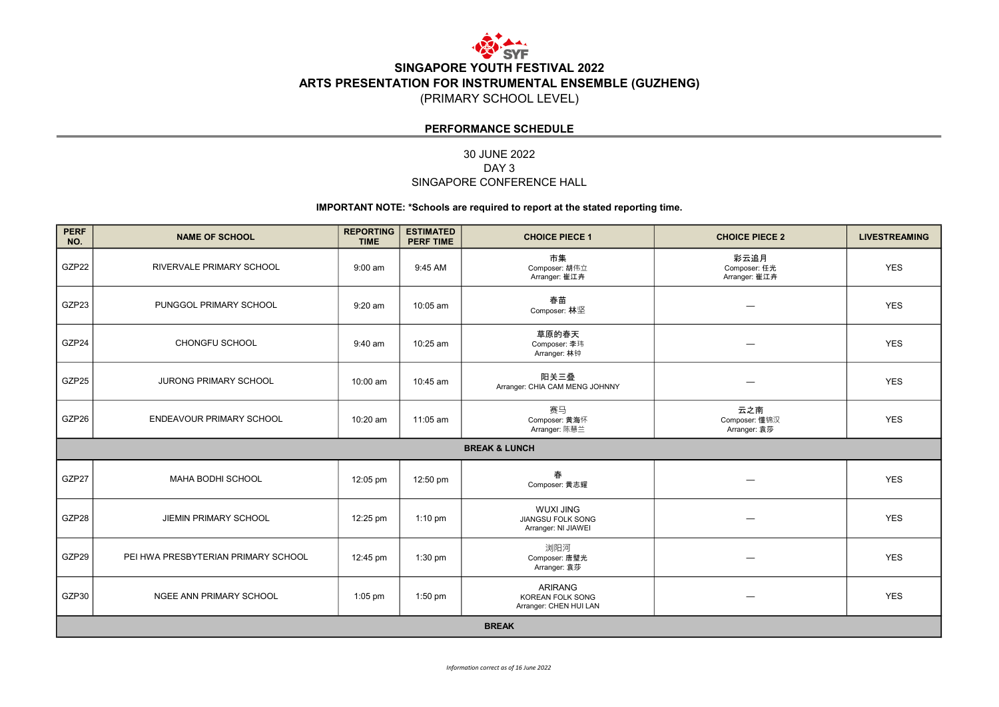

(PRIMARY SCHOOL LEVEL)

#### PERFORMANCE SCHEDULE

#### 30 JUNE 2022 SINGAPORE CONFERENCE HALL DAY<sub>3</sub>

| <b>PERF</b><br>NO. | <b>NAME OF SCHOOL</b>               | <b>REPORTING</b><br><b>TIME</b> | <b>ESTIMATED</b><br><b>PERF TIME</b> | <b>CHOICE PIECE 1</b>                                               | <b>CHOICE PIECE 2</b>                 | <b>LIVESTREAMING</b> |  |  |
|--------------------|-------------------------------------|---------------------------------|--------------------------------------|---------------------------------------------------------------------|---------------------------------------|----------------------|--|--|
| GZP22              | <b>RIVERVALE PRIMARY SCHOOL</b>     | $9:00$ am                       | 9:45 AM                              | 市集<br>Composer: 胡伟立<br>Arranger: 崔江卉                                | 彩云追月<br>Composer: 任光<br>Arranger: 崔江卉 | <b>YES</b>           |  |  |
| GZP23              | PUNGGOL PRIMARY SCHOOL              | $9:20$ am                       | 10:05 am                             | 春苗<br>Composer: 林坚                                                  |                                       | <b>YES</b>           |  |  |
| GZP24              | CHONGFU SCHOOL                      | 9:40 am                         | 10:25 am                             | 草原的春天<br>Composer: 李玮<br>Arranger: 林钟                               |                                       | <b>YES</b>           |  |  |
| GZP25              | JURONG PRIMARY SCHOOL               | 10:00 am                        | 10:45 am                             | 阳关三叠<br>Arranger: CHIA CAM MENG JOHNNY                              |                                       | <b>YES</b>           |  |  |
| GZP26              | <b>ENDEAVOUR PRIMARY SCHOOL</b>     | 10:20 am                        | 11:05 am                             | 赛马<br>Composer: 黄海怀<br>Arranger: 陈慧兰                                | 云之南<br>Composer: 懂锦汉<br>Arranger: 袁莎  | <b>YES</b>           |  |  |
|                    |                                     |                                 |                                      | <b>BREAK &amp; LUNCH</b>                                            |                                       |                      |  |  |
| GZP27              | MAHA BODHI SCHOOL                   | 12:05 pm                        | 12:50 pm                             | 春<br>Composer: 黄志耀                                                  |                                       | <b>YES</b>           |  |  |
| GZP28              | <b>JIEMIN PRIMARY SCHOOL</b>        | 12:25 pm                        | $1:10$ pm                            | <b>WUXI JING</b><br>JIANGSU FOLK SONG<br>Arranger: NI JIAWEI        |                                       | <b>YES</b>           |  |  |
| GZP29              | PEI HWA PRESBYTERIAN PRIMARY SCHOOL | 12:45 pm                        | $1:30$ pm                            | 浏阳河<br>Composer: 唐璧光<br>Arranger: 袁莎                                |                                       | <b>YES</b>           |  |  |
| GZP30              | NGEE ANN PRIMARY SCHOOL             | $1:05$ pm                       | $1:50$ pm                            | <b>ARIRANG</b><br><b>KOREAN FOLK SONG</b><br>Arranger: CHEN HUI LAN |                                       | <b>YES</b>           |  |  |
| <b>BREAK</b>       |                                     |                                 |                                      |                                                                     |                                       |                      |  |  |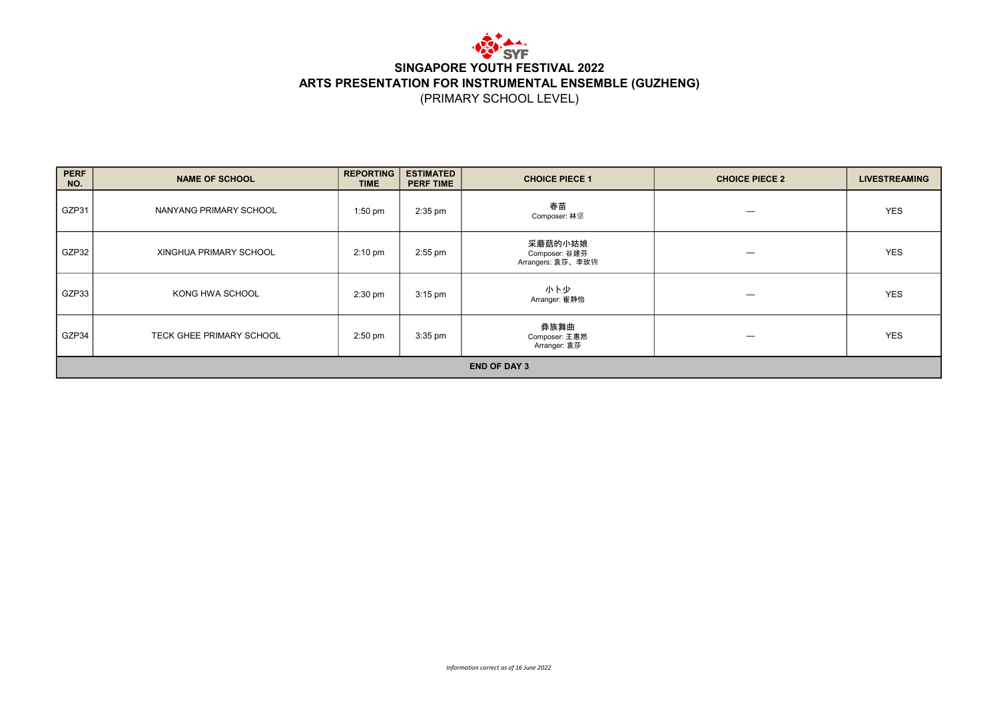

(PRIMARY SCHOOL LEVEL)

| <b>PERF</b><br>NO. | <b>NAME OF SCHOOL</b>    | <b>REPORTING</b><br><b>TIME</b> | <b>ESTIMATED</b><br><b>PERF TIME</b> | <b>CHOICE PIECE 1</b>                         | <b>CHOICE PIECE 2</b> | <b>LIVESTREAMING</b> |  |  |  |
|--------------------|--------------------------|---------------------------------|--------------------------------------|-----------------------------------------------|-----------------------|----------------------|--|--|--|
| GZP31              | NANYANG PRIMARY SCHOOL   | $1:50$ pm                       | $2:35$ pm                            | 春苗<br>Composer: 林坚                            |                       | <b>YES</b>           |  |  |  |
| GZP32              | XINGHUA PRIMARY SCHOOL   | $2:10 \text{ pm}$               | $2:55$ pm                            | 采蘑菇的小姑娘<br>Composer: 谷建芬<br>Arrangers: 袁莎、李玫锦 | –                     | <b>YES</b>           |  |  |  |
| GZP33              | KONG HWA SCHOOL          | $2:30$ pm                       | $3:15$ pm                            | 小卜少<br>Arranger: 崔静怡                          |                       | <b>YES</b>           |  |  |  |
| GZP34              | TECK GHEE PRIMARY SCHOOL | $2:50$ pm                       | $3:35$ pm                            | 彝族舞曲<br>Composer: 王惠然<br>Arranger: 袁莎         |                       | <b>YES</b>           |  |  |  |
|                    | <b>END OF DAY 3</b>      |                                 |                                      |                                               |                       |                      |  |  |  |